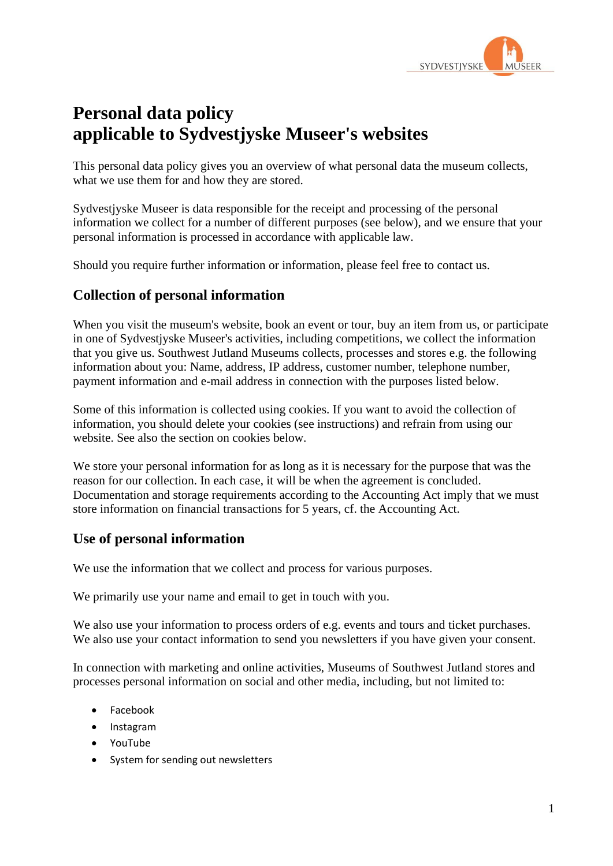

# **Personal data policy applicable to Sydvestjyske Museer's websites**

This personal data policy gives you an overview of what personal data the museum collects, what we use them for and how they are stored.

Sydvestjyske Museer is data responsible for the receipt and processing of the personal information we collect for a number of different purposes (see below), and we ensure that your personal information is processed in accordance with applicable law.

Should you require further information or information, please feel free to contact us.

### **Collection of personal information**

When you visit the museum's website, book an event or tour, buy an item from us, or participate in one of Sydvestjyske Museer's activities, including competitions, we collect the information that you give us. Southwest Jutland Museums collects, processes and stores e.g. the following information about you: Name, address, IP address, customer number, telephone number, payment information and e-mail address in connection with the purposes listed below.

Some of this information is collected using cookies. If you want to avoid the collection of information, you should delete your cookies (see instructions) and refrain from using our website. See also the section on cookies below.

We store your personal information for as long as it is necessary for the purpose that was the reason for our collection. In each case, it will be when the agreement is concluded. Documentation and storage requirements according to the Accounting Act imply that we must store information on financial transactions for 5 years, cf. the Accounting Act.

### **Use of personal information**

We use the information that we collect and process for various purposes.

We primarily use your name and email to get in touch with you.

We also use your information to process orders of e.g. events and tours and ticket purchases. We also use your contact information to send you newsletters if you have given your consent.

In connection with marketing and online activities, Museums of Southwest Jutland stores and processes personal information on social and other media, including, but not limited to:

- Facebook
- Instagram
- YouTube
- System for sending out newsletters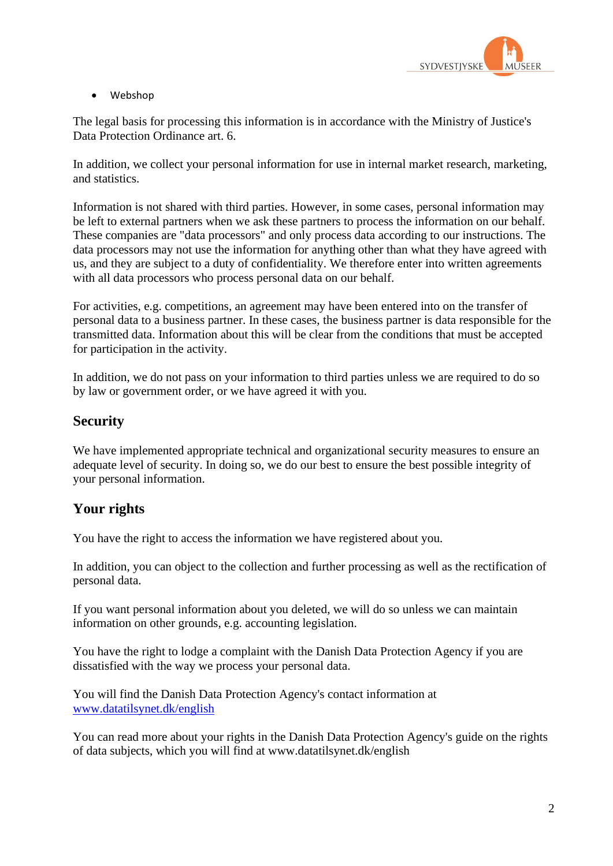

• Webshop

The legal basis for processing this information is in accordance with the Ministry of Justice's Data Protection Ordinance art. 6.

In addition, we collect your personal information for use in internal market research, marketing, and statistics.

Information is not shared with third parties. However, in some cases, personal information may be left to external partners when we ask these partners to process the information on our behalf. These companies are "data processors" and only process data according to our instructions. The data processors may not use the information for anything other than what they have agreed with us, and they are subject to a duty of confidentiality. We therefore enter into written agreements with all data processors who process personal data on our behalf.

For activities, e.g. competitions, an agreement may have been entered into on the transfer of personal data to a business partner. In these cases, the business partner is data responsible for the transmitted data. Information about this will be clear from the conditions that must be accepted for participation in the activity.

In addition, we do not pass on your information to third parties unless we are required to do so by law or government order, or we have agreed it with you.

### **Security**

We have implemented appropriate technical and organizational security measures to ensure an adequate level of security. In doing so, we do our best to ensure the best possible integrity of your personal information.

### **Your rights**

You have the right to access the information we have registered about you.

In addition, you can object to the collection and further processing as well as the rectification of personal data.

If you want personal information about you deleted, we will do so unless we can maintain information on other grounds, e.g. accounting legislation.

You have the right to lodge a complaint with the Danish Data Protection Agency if you are dissatisfied with the way we process your personal data.

You will find the Danish Data Protection Agency's contact information at [www.datatilsynet.dk/english](http://www.datatilsynet.dk/english)

You can read more about your rights in the Danish Data Protection Agency's guide on the rights of data subjects, which you will find at www.datatilsynet.dk/english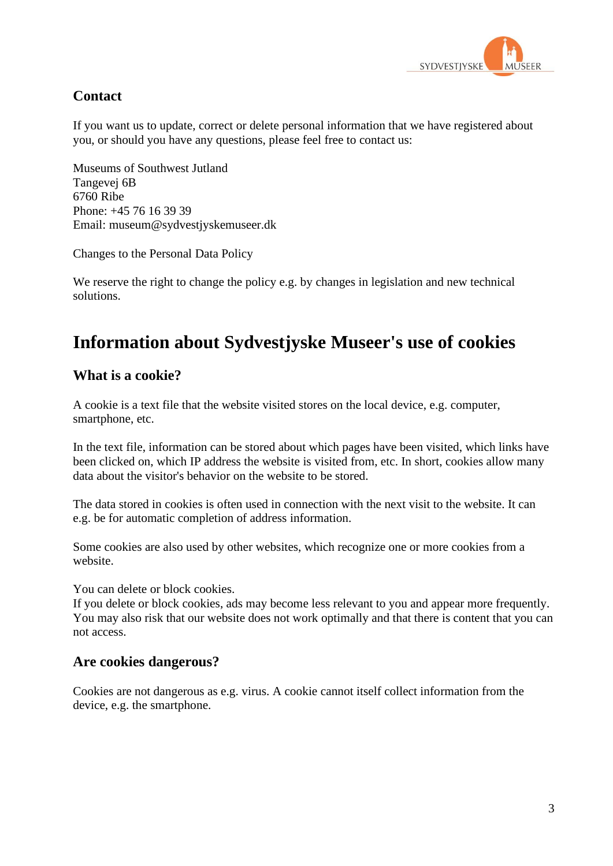

# **Contact**

If you want us to update, correct or delete personal information that we have registered about you, or should you have any questions, please feel free to contact us:

Museums of Southwest Jutland Tangevej 6B 6760 Ribe Phone: +45 76 16 39 39 Email: museum@sydvestjyskemuseer.dk

Changes to the Personal Data Policy

We reserve the right to change the policy e.g. by changes in legislation and new technical solutions.

# **Information about Sydvestjyske Museer's use of cookies**

#### **What is a cookie?**

A cookie is a text file that the website visited stores on the local device, e.g. computer, smartphone, etc.

In the text file, information can be stored about which pages have been visited, which links have been clicked on, which IP address the website is visited from, etc. In short, cookies allow many data about the visitor's behavior on the website to be stored.

The data stored in cookies is often used in connection with the next visit to the website. It can e.g. be for automatic completion of address information.

Some cookies are also used by other websites, which recognize one or more cookies from a website.

You can delete or block cookies.

If you delete or block cookies, ads may become less relevant to you and appear more frequently. You may also risk that our website does not work optimally and that there is content that you can not access.

### **Are cookies dangerous?**

Cookies are not dangerous as e.g. virus. A cookie cannot itself collect information from the device, e.g. the smartphone.